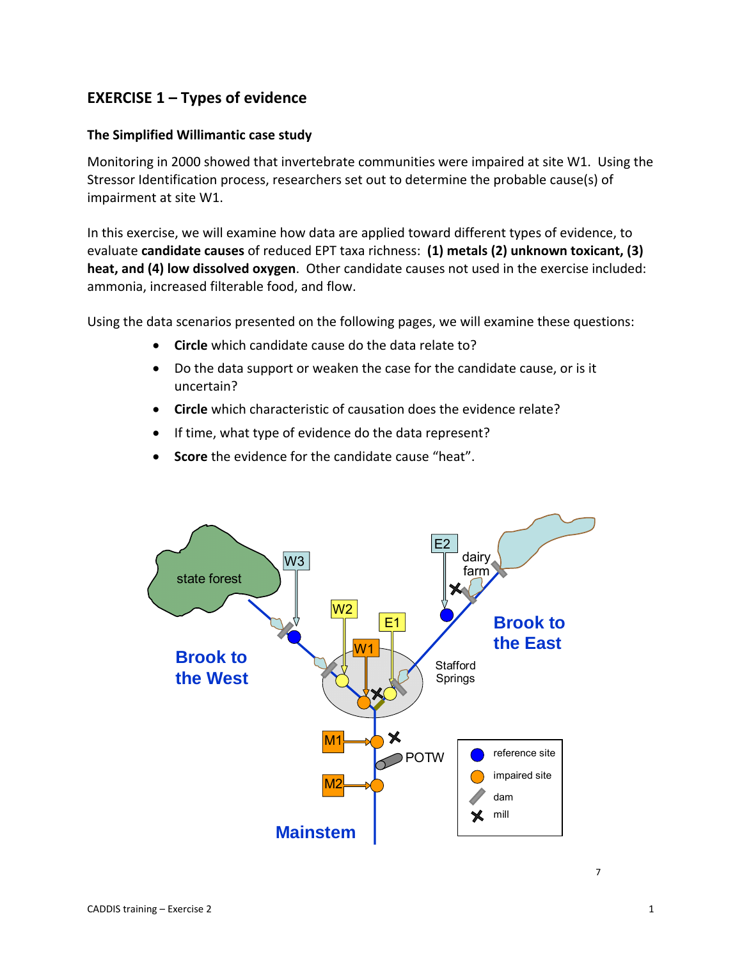# **EXERCISE 1 – Types of evidence**

#### **The Simplified Willimantic case study**

Monitoring in 2000 showed that invertebrate communities were impaired at site W1. Using the Stressor Identification process, researchers set out to determine the probable cause(s) of impairment at site W1.

In this exercise, we will examine how data are applied toward different types of evidence, to evaluate **candidate causes** of reduced EPT taxa richness: **(1) metals (2) unknown toxicant, (3) heat, and (4) low dissolved oxygen**. Other candidate causes not used in the exercise included: ammonia, increased filterable food, and flow.

Using the data scenarios presented on the following pages, we will examine these questions:

- **Circle** which candidate cause do the data relate to?
- Do the data support or weaken the case for the candidate cause, or is it uncertain?
- **Circle** which characteristic of causation does the evidence relate?
- If time, what type of evidence do the data represent?
- **Score** the evidence for the candidate cause "heat".

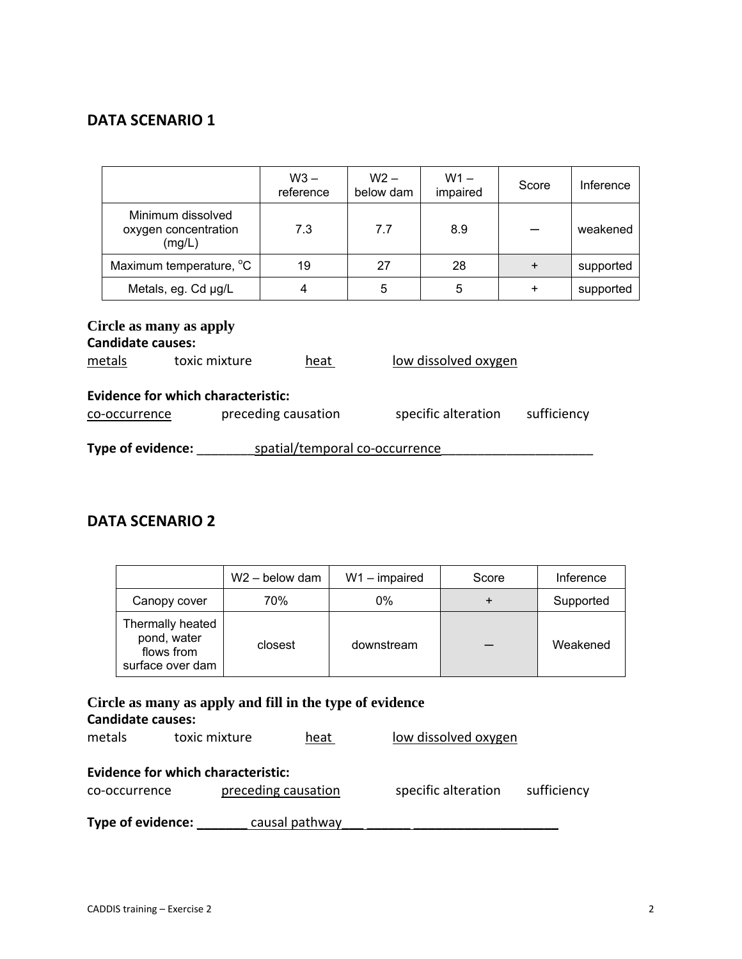|                                                                                                                         | $W3 -$<br>reference | $W2 -$<br>below dam | $W1 -$<br>impaired | Score     | Inference |  |  |
|-------------------------------------------------------------------------------------------------------------------------|---------------------|---------------------|--------------------|-----------|-----------|--|--|
| Minimum dissolved<br>oxygen concentration<br>(mg/L)                                                                     | 7.3                 | 7.7                 | 8.9                |           | weakened  |  |  |
| Maximum temperature, °C                                                                                                 | 19                  | 27                  | 28                 | $\ddot{}$ | supported |  |  |
| Metals, eg. Cd µg/L                                                                                                     | 4                   | 5                   | 5                  | $\ddot{}$ | supported |  |  |
| Circle as many as apply<br><b>Candidate causes:</b><br>low dissolved oxygen<br>toxic mixture<br>metals<br>heat          |                     |                     |                    |           |           |  |  |
| <b>Evidence for which characteristic:</b><br>specific alteration<br>preceding causation<br>sufficiency<br>co-occurrence |                     |                     |                    |           |           |  |  |
| Type of evidence:<br>spatial/temporal co-occurrence                                                                     |                     |                     |                    |           |           |  |  |

# **DATA SCENARIO 2**

|                                                                   | $W2 -$ below dam | $W1 - impaired$ | Score | Inference |
|-------------------------------------------------------------------|------------------|-----------------|-------|-----------|
| Canopy cover                                                      | 70%              | 0%              |       | Supported |
| Thermally heated<br>pond, water<br>flows from<br>surface over dam | closest          | downstream      |       | Weakened  |

### **Circle as many as apply and fill in the type of evidence Candidate causes:**

| metals            | toxic mixture                             | heat                | low dissolved oxygen |             |
|-------------------|-------------------------------------------|---------------------|----------------------|-------------|
|                   | <b>Evidence for which characteristic:</b> |                     |                      |             |
| co-occurrence     |                                           | preceding causation | specific alteration  | sufficiency |
| Type of evidence: |                                           | causal pathway      |                      |             |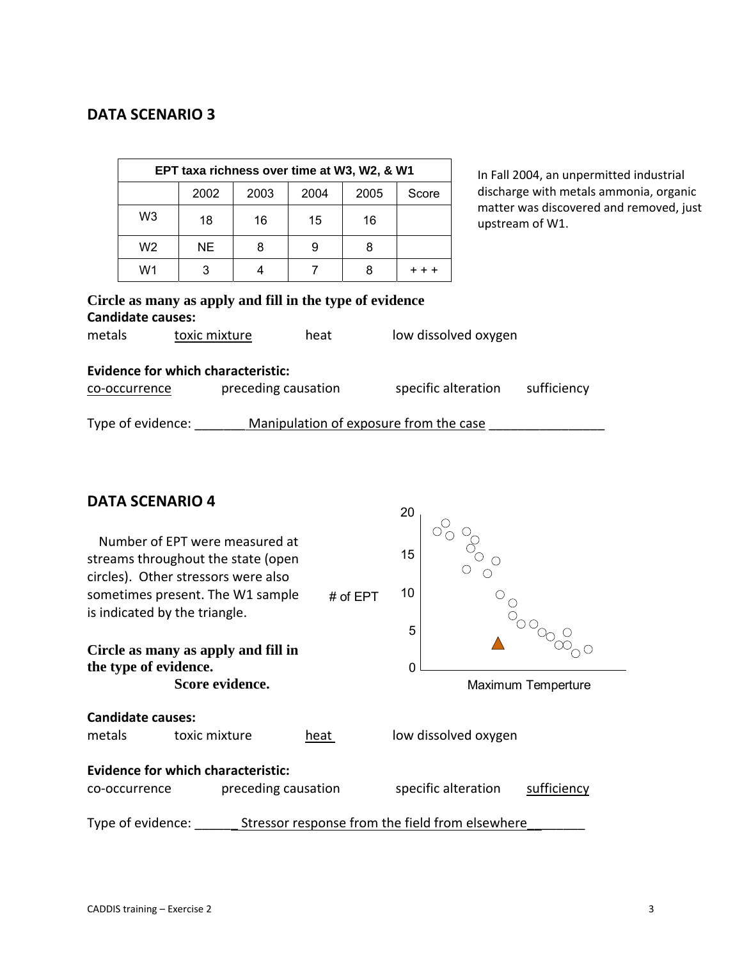| EPT taxa richness over time at W3, W2, & W1 |     |    |    |    |  |  |  |
|---------------------------------------------|-----|----|----|----|--|--|--|
| 2003<br>2002<br>2004<br>2005<br>Score       |     |    |    |    |  |  |  |
| W3                                          | 18  | 16 | 15 | 16 |  |  |  |
| W <sub>2</sub>                              | NE. | 8  | 9  | 8  |  |  |  |
| W1                                          |     |    |    |    |  |  |  |

In Fall 2004, an unpermitted industrial discharge with metals ammonia, organic matter was discovered and removed, just upstream of W1.

# **Circle as many as apply and fill in the type of evidence Candidate causes:**  metals toxic mixture heat low dissolved oxygen **Evidence for which characteristic:**  co‐occurrence preceding causation specific alteration sufficiency Type of evidence: Manipulation of exposure from the case

### **DATA SCENARIO 4**

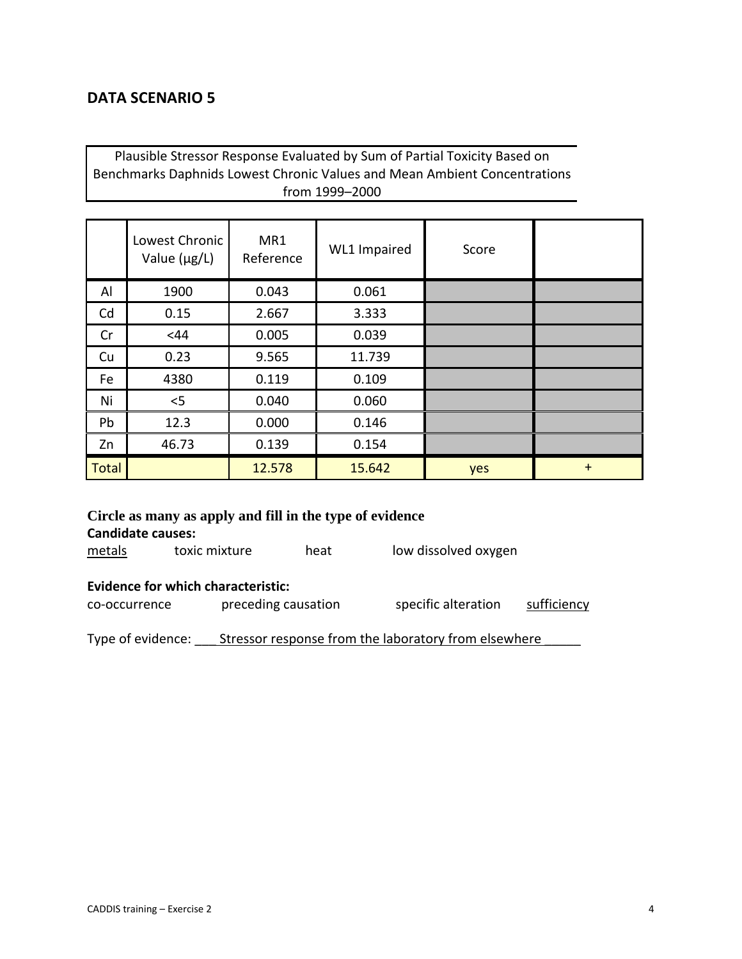Plausible Stressor Response Evaluated by Sum of Partial Toxicity Based on Benchmarks Daphnids Lowest Chronic Values and Mean Ambient Concentrations from 1999–2000

|              | Lowest Chronic<br>Value $(\mu g/L)$ | MR1<br>Reference | WL1 Impaired | Score |     |
|--------------|-------------------------------------|------------------|--------------|-------|-----|
| Al           | 1900                                | 0.043            | 0.061        |       |     |
| Cd           | 0.15                                | 2.667            | 3.333        |       |     |
| Cr           | <44                                 | 0.005            | 0.039        |       |     |
| Cu           | 0.23                                | 9.565            | 11.739       |       |     |
| Fe           | 4380                                | 0.119            | 0.109        |       |     |
| Ni           | $<$ 5                               | 0.040            | 0.060        |       |     |
| Pb           | 12.3                                | 0.000            | 0.146        |       |     |
| Zn           | 46.73                               | 0.139            | 0.154        |       |     |
| <b>Total</b> |                                     | 12.578           | 15.642       | yes   | $+$ |

| <b>Candidate causes:</b>                                                                                                |  | Circle as many as apply and fill in the type of evidence |                                                      |  |  |  |  |  |
|-------------------------------------------------------------------------------------------------------------------------|--|----------------------------------------------------------|------------------------------------------------------|--|--|--|--|--|
| low dissolved oxygen<br>toxic mixture<br>metals<br>heat                                                                 |  |                                                          |                                                      |  |  |  |  |  |
| <b>Evidence for which characteristic:</b><br>preceding causation<br>specific alteration<br>sufficiency<br>co-occurrence |  |                                                          |                                                      |  |  |  |  |  |
| Type of evidence:                                                                                                       |  |                                                          | Stressor response from the laboratory from elsewhere |  |  |  |  |  |

CADDIS training – Exercise 2 4